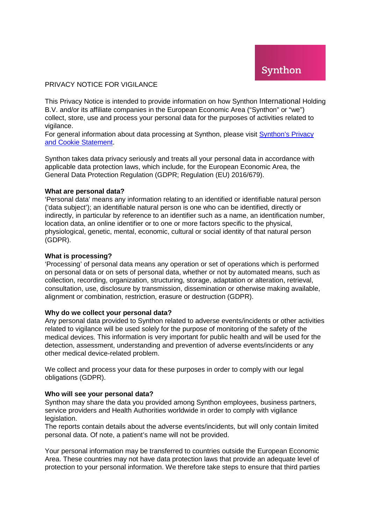### PRIVACY NOTICE FOR VIGILANCE

This Privacy Notice is intended to provide information on how Synthon International Holding B.V. and/or its affiliate companies in the European Economic Area ("Synthon" or "we") collect, store, use and process your personal data for the purposes of activities related to vigilance.

For general information about data processing at Synthon, please visit [Synthon's Privacy](https://www.synthon.com/information/privacy-and-cookie-statement)  [and Cookie Statement.](https://www.synthon.com/information/privacy-and-cookie-statement)

Synthon takes data privacy seriously and treats all your personal data in accordance with applicable data protection laws, which include, for the European Economic Area, the General Data Protection Regulation (GDPR; Regulation (EU) 2016/679).

### **What are personal data?**

'Personal data' means any information relating to an identified or identifiable natural person ('data subject'); an identifiable natural person is one who can be identified, directly or indirectly, in particular by reference to an identifier such as a name, an identification number, location data, an online identifier or to one or more factors specific to the physical, physiological, genetic, mental, economic, cultural or social identity of that natural person (GDPR).

### **What is processing?**

'Processing' of personal data means any operation or set of operations which is performed on personal data or on sets of personal data, whether or not by automated means, such as collection, recording, organization, structuring, storage, adaptation or alteration, retrieval, consultation, use, disclosure by transmission, dissemination or otherwise making available, alignment or combination, restriction, erasure or destruction (GDPR).

#### **Why do we collect your personal data?**

Any personal data provided to Synthon related to adverse events/incidents or other activities related to vigilance will be used solely for the purpose of monitoring of the safety of the medical devices. This information is very important for public health and will be used for the detection, assessment, understanding and prevention of adverse events/incidents or any other medical device-related problem.

We collect and process your data for these purposes in order to comply with our legal obligations (GDPR).

#### **Who will see your personal data?**

Synthon may share the data you provided among Synthon employees, business partners, service providers and Health Authorities worldwide in order to comply with vigilance legislation.

The reports contain details about the adverse events/incidents, but will only contain limited personal data. Of note, a patient's name will not be provided.

Your personal information may be transferred to countries outside the European Economic Area. These countries may not have data protection laws that provide an adequate level of protection to your personal information. We therefore take steps to ensure that third parties